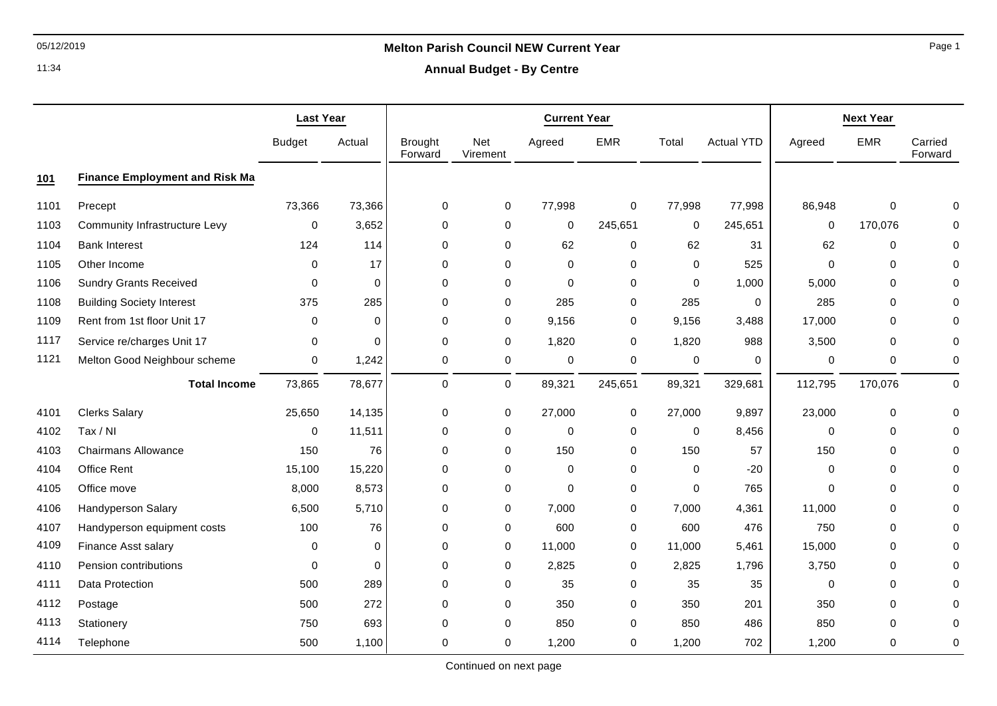# 05/12/2019 **Melton Parish Council NEW Current Year**

11:34

|  | <b>Annual Budget - By Centre</b> |  |  |
|--|----------------------------------|--|--|
|--|----------------------------------|--|--|

|      |                                       | <b>Last Year</b> |             | <b>Current Year</b>       |                 |             | <b>Next Year</b> |             |                   |             |             |                    |
|------|---------------------------------------|------------------|-------------|---------------------------|-----------------|-------------|------------------|-------------|-------------------|-------------|-------------|--------------------|
|      |                                       | <b>Budget</b>    | Actual      | <b>Brought</b><br>Forward | Net<br>Virement | Agreed      | <b>EMR</b>       | Total       | <b>Actual YTD</b> | Agreed      | <b>EMR</b>  | Carried<br>Forward |
| 101  | <b>Finance Employment and Risk Ma</b> |                  |             |                           |                 |             |                  |             |                   |             |             |                    |
| 1101 | Precept                               | 73,366           | 73,366      | 0                         | 0               | 77,998      | $\mathbf 0$      | 77,998      | 77,998            | 86,948      | $\mathbf 0$ | O                  |
| 1103 | <b>Community Infrastructure Levy</b>  | 0                | 3,652       | 0                         | $\pmb{0}$       | 0           | 245,651          | 0           | 245,651           | 0           | 170,076     | $\Omega$           |
| 1104 | <b>Bank Interest</b>                  | 124              | 114         | 0                         | 0               | 62          | $\mathbf 0$      | 62          | 31                | 62          | 0           |                    |
| 1105 | Other Income                          | 0                | 17          | 0                         | $\mathbf 0$     | $\mathbf 0$ | $\mathbf 0$      | $\mathbf 0$ | 525               | $\Omega$    | 0           | O                  |
| 1106 | <b>Sundry Grants Received</b>         | 0                | $\Omega$    | 0                         | 0               | 0           | $\mathbf 0$      | 0           | 1,000             | 5,000       | 0           |                    |
| 1108 | <b>Building Society Interest</b>      | 375              | 285         | 0                         | $\pmb{0}$       | 285         | 0                | 285         | 0                 | 285         | 0           |                    |
| 1109 | Rent from 1st floor Unit 17           | $\mathbf 0$      | $\Omega$    | 0                         | $\pmb{0}$       | 9,156       | 0                | 9,156       | 3,488             | 17,000      | $\mathbf 0$ | $\Omega$           |
| 1117 | Service re/charges Unit 17            | 0                | $\Omega$    | $\Omega$                  | 0               | 1,820       | 0                | 1,820       | 988               | 3,500       | $\Omega$    | $\Omega$           |
| 1121 | Melton Good Neighbour scheme          | 0                | 1,242       | 0                         | $\pmb{0}$       | 0           | 0                | 0           | 0                 | $\pmb{0}$   | 0           | $\Omega$           |
|      | <b>Total Income</b>                   | 73,865           | 78,677      | 0                         | $\mathsf{O}$    | 89,321      | 245,651          | 89,321      | 329,681           | 112,795     | 170,076     | $\pmb{0}$          |
| 4101 | <b>Clerks Salary</b>                  | 25,650           | 14,135      | 0                         | $\pmb{0}$       | 27,000      | $\pmb{0}$        | 27,000      | 9,897             | 23,000      | 0           | $\Omega$           |
| 4102 | Tax / NI                              | 0                | 11,511      | 0                         | 0               | $\mathbf 0$ | 0                | 0           | 8,456             | $\Omega$    | 0           | $\Omega$           |
| 4103 | <b>Chairmans Allowance</b>            | 150              | 76          | 0                         | 0               | 150         | 0                | 150         | 57                | 150         | 0           | $\Omega$           |
| 4104 | Office Rent                           | 15,100           | 15,220      | 0                         | $\pmb{0}$       | $\mathbf 0$ | $\mathbf 0$      | $\mathbf 0$ | $-20$             | $\mathbf 0$ | $\mathbf 0$ | $\Omega$           |
| 4105 | Office move                           | 8,000            | 8,573       | 0                         | 0               | $\Omega$    | $\mathbf 0$      | $\mathbf 0$ | 765               | $\Omega$    | 0           |                    |
| 4106 | <b>Handyperson Salary</b>             | 6,500            | 5,710       | 0                         | $\pmb{0}$       | 7,000       | 0                | 7,000       | 4,361             | 11,000      | 0           |                    |
| 4107 | Handyperson equipment costs           | 100              | 76          | 0                         | $\mathbf 0$     | 600         | 0                | 600         | 476               | 750         | 0           | $\Omega$           |
| 4109 | Finance Asst salary                   | 0                | $\mathbf 0$ | 0                         | $\pmb{0}$       | 11,000      | $\pmb{0}$        | 11,000      | 5,461             | 15,000      | 0           | $\Omega$           |
| 4110 | Pension contributions                 | $\Omega$         | 0           | 0                         | 0               | 2,825       | 0                | 2,825       | 1,796             | 3,750       | 0           | O                  |
| 4111 | Data Protection                       | 500              | 289         | 0                         | 0               | 35          | 0                | 35          | 35                | $\mathbf 0$ | 0           |                    |
| 4112 | Postage                               | 500              | 272         | 0                         | $\pmb{0}$       | 350         | 0                | 350         | 201               | 350         | $\mathbf 0$ |                    |
| 4113 | Stationery                            | 750              | 693         | 0                         | 0               | 850         | $\mathbf 0$      | 850         | 486               | 850         | $\Omega$    | 0                  |
| 4114 | Telephone                             | 500              | 1,100       | 0                         | $\mathbf 0$     | 1,200       | $\mathbf 0$      | 1,200       | 702               | 1,200       | $\mathbf 0$ | $\mathbf 0$        |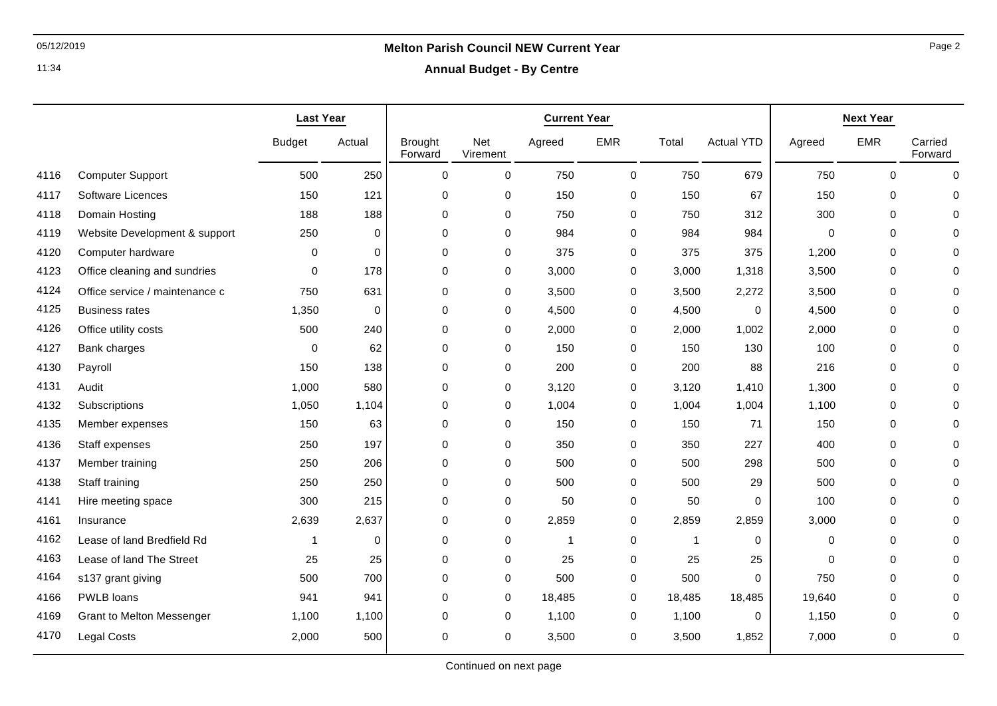11:34

## 05/12/2019 **Melton Parish Council NEW Current Year**

**Annual Budget - By Centre**

|      |                                | <b>Last Year</b> |          | <b>Current Year</b>       |                 |              | <b>Next Year</b> |              |                   |          |             |                    |
|------|--------------------------------|------------------|----------|---------------------------|-----------------|--------------|------------------|--------------|-------------------|----------|-------------|--------------------|
|      |                                | <b>Budget</b>    | Actual   | <b>Brought</b><br>Forward | Net<br>Virement | Agreed       | <b>EMR</b>       | Total        | <b>Actual YTD</b> | Agreed   | <b>EMR</b>  | Carried<br>Forward |
| 4116 | <b>Computer Support</b>        | 500              | 250      | $\mathbf 0$               | $\mathbf 0$     | 750          | $\mathsf 0$      | 750          | 679               | 750      | $\mathbf 0$ | $\mathbf 0$        |
| 4117 | Software Licences              | 150              | 121      | 0                         | 0               | 150          | 0                | 150          | 67                | 150      | 0           | 0                  |
| 4118 | Domain Hosting                 | 188              | 188      | 0                         | 0               | 750          | 0                | 750          | 312               | 300      | 0           |                    |
| 4119 | Website Development & support  | 250              | $\Omega$ | $\mathbf 0$               | 0               | 984          | 0                | 984          | 984               | $\Omega$ | 0           | $\Omega$           |
| 4120 | Computer hardware              | 0                | $\Omega$ | 0                         | 0               | 375          | 0                | 375          | 375               | 1,200    | 0           | O                  |
| 4123 | Office cleaning and sundries   | $\mathbf 0$      | 178      | 0                         | 0               | 3,000        | 0                | 3,000        | 1,318             | 3,500    | $\mathbf 0$ | $\Omega$           |
| 4124 | Office service / maintenance c | 750              | 631      | $\mathbf 0$               | 0               | 3,500        | 0                | 3,500        | 2,272             | 3,500    | $\mathbf 0$ | $\Omega$           |
| 4125 | <b>Business rates</b>          | 1,350            | 0        | 0                         | 0               | 4,500        | 0                | 4,500        | 0                 | 4,500    | 0           | $\Omega$           |
| 4126 | Office utility costs           | 500              | 240      | 0                         | 0               | 2,000        | 0                | 2,000        | 1,002             | 2,000    | 0           | 0                  |
| 4127 | Bank charges                   | $\mathbf 0$      | 62       | 0                         | 0               | 150          | 0                | 150          | 130               | 100      | 0           | $\Omega$           |
| 4130 | Payroll                        | 150              | 138      | 0                         | 0               | 200          | 0                | 200          | 88                | 216      | $\mathbf 0$ | $\Omega$           |
| 4131 | Audit                          | 1,000            | 580      | 0                         | 0               | 3,120        | 0                | 3,120        | 1,410             | 1,300    | $\mathbf 0$ | $\Omega$           |
| 4132 | Subscriptions                  | 1,050            | 1,104    | 0                         | 0               | 1,004        | 0                | 1,004        | 1,004             | 1,100    | 0           |                    |
| 4135 | Member expenses                | 150              | 63       | 0                         | 0               | 150          | 0                | 150          | 71                | 150      | $\mathbf 0$ | $\Omega$           |
| 4136 | Staff expenses                 | 250              | 197      | $\pmb{0}$                 | 0               | 350          | 0                | 350          | 227               | 400      | $\pmb{0}$   | $\Omega$           |
| 4137 | Member training                | 250              | 206      | 0                         | 0               | 500          | 0                | 500          | 298               | 500      | 0           | $\Omega$           |
| 4138 | Staff training                 | 250              | 250      | 0                         | 0               | 500          | 0                | 500          | 29                | 500      | $\mathbf 0$ | $\Omega$           |
| 4141 | Hire meeting space             | 300              | 215      | 0                         | 0               | 50           | 0                | 50           | 0                 | 100      | 0           | $\Omega$           |
| 4161 | Insurance                      | 2,639            | 2,637    | 0                         | 0               | 2,859        | 0                | 2,859        | 2,859             | 3,000    | 0           | $\Omega$           |
| 4162 | Lease of land Bredfield Rd     | 1                | $\Omega$ | 0                         | 0               | $\mathbf{1}$ | 0                | $\mathbf{1}$ | 0                 | $\Omega$ | $\mathbf 0$ | 0                  |
| 4163 | Lease of land The Street       | 25               | 25       | 0                         | 0               | 25           | 0                | 25           | 25                | $\Omega$ | 0           | $\Omega$           |
| 4164 | s137 grant giving              | 500              | 700      | 0                         | $\mathbf 0$     | 500          | $\mathbf 0$      | 500          | 0                 | 750      | $\Omega$    | $\Omega$           |
| 4166 | PWLB loans                     | 941              | 941      | $\Omega$                  | $\mathbf 0$     | 18,485       | 0                | 18,485       | 18,485            | 19,640   | 0           | 0                  |
| 4169 | Grant to Melton Messenger      | 1,100            | 1,100    | 0                         | 0               | 1,100        | 0                | 1,100        | 0                 | 1,150    | 0           | $\Omega$           |
| 4170 | <b>Legal Costs</b>             | 2,000            | 500      | 0                         | $\mathbf 0$     | 3,500        | 0                | 3,500        | 1,852             | 7,000    | 0           | 0                  |

Page 2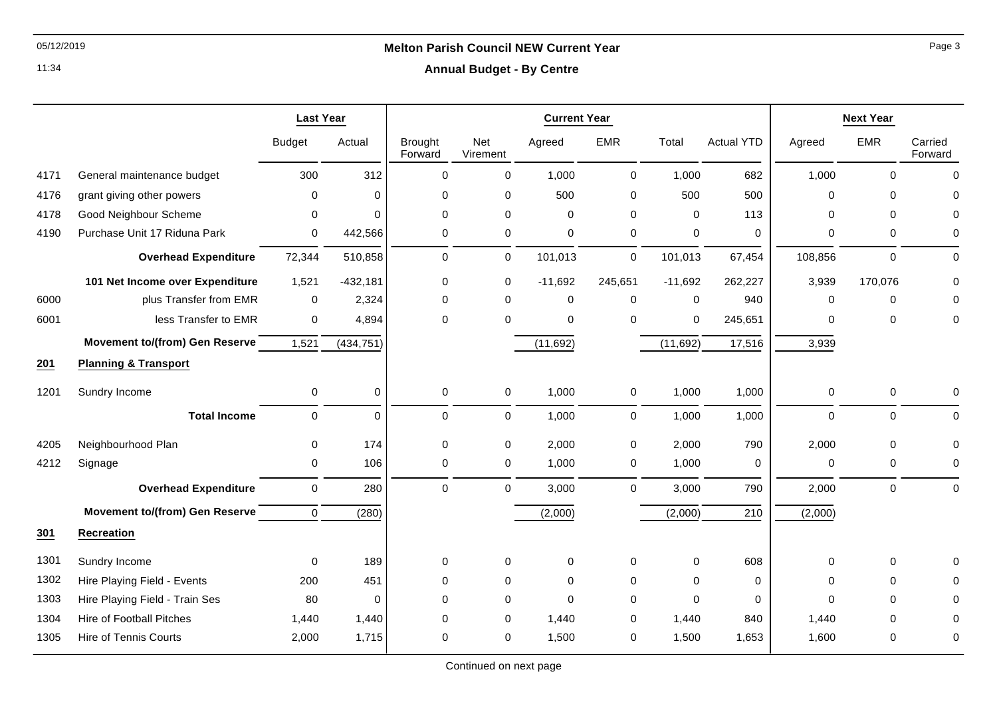11:34

### **Annual Budget - By Centre**

|      |                                       | <b>Last Year</b> |             | <b>Current Year</b>       |                 |           |              |             |                   | <b>Next Year</b> |             |                    |
|------|---------------------------------------|------------------|-------------|---------------------------|-----------------|-----------|--------------|-------------|-------------------|------------------|-------------|--------------------|
|      |                                       | <b>Budget</b>    | Actual      | <b>Brought</b><br>Forward | Net<br>Virement | Agreed    | <b>EMR</b>   | Total       | <b>Actual YTD</b> | Agreed           | <b>EMR</b>  | Carried<br>Forward |
| 4171 | General maintenance budget            | 300              | 312         | 0                         | $\mathbf 0$     | 1,000     | 0            | 1,000       | 682               | 1,000            | $\Omega$    | $\Omega$           |
| 4176 | grant giving other powers             | 0                | $\mathbf 0$ | 0                         | $\mathbf 0$     | 500       | 0            | 500         | 500               | 0                | $\Omega$    | $\Omega$           |
| 4178 | Good Neighbour Scheme                 | 0                | $\Omega$    | $\Omega$                  | $\mathbf 0$     | $\Omega$  | $\mathbf 0$  | $\Omega$    | 113               | $\Omega$         | $\Omega$    | $\Omega$           |
| 4190 | Purchase Unit 17 Riduna Park          | 0                | 442,566     | 0                         | 0               | 0         | $\mathbf 0$  | $\mathbf 0$ | $\pmb{0}$         | 0                | 0           | 0                  |
|      | <b>Overhead Expenditure</b>           | 72,344           | 510,858     | 0                         | 0               | 101,013   | 0            | 101,013     | 67,454            | 108,856          | 0           | $\Omega$           |
|      | 101 Net Income over Expenditure       | 1,521            | $-432,181$  | 0                         | 0               | $-11,692$ | 245,651      | $-11,692$   | 262,227           | 3,939            | 170,076     | $\Omega$           |
| 6000 | plus Transfer from EMR                | $\mathbf 0$      | 2,324       | 0                         | $\mathbf 0$     | 0         | $\mathbf 0$  | $\mathbf 0$ | 940               | 0                | $\mathbf 0$ | O                  |
| 6001 | less Transfer to EMR                  | 0                | 4,894       | 0                         | $\mathbf 0$     | 0         | $\mathbf 0$  | $\mathbf 0$ | 245,651           | 0                | 0           | 0                  |
|      | <b>Movement to/(from) Gen Reserve</b> | 1,521            | (434, 751)  |                           |                 | (11, 692) |              | (11,692)    | 17,516            | 3,939            |             |                    |
| 201  | <b>Planning &amp; Transport</b>       |                  |             |                           |                 |           |              |             |                   |                  |             |                    |
| 1201 | Sundry Income                         | 0                | $\pmb{0}$   | 0                         | 0               | 1,000     | $\mathbf 0$  | 1,000       | 1,000             | 0                | 0           | 0                  |
|      | <b>Total Income</b>                   | $\mathbf 0$      | $\mathbf 0$ | 0                         | $\pmb{0}$       | 1,000     | $\mathsf{O}$ | 1,000       | 1,000             | 0                | 0           | $\Omega$           |
| 4205 | Neighbourhood Plan                    | 0                | 174         | 0                         | 0               | 2,000     | 0            | 2,000       | 790               | 2,000            | $\mathbf 0$ | $\Omega$           |
| 4212 | Signage                               | 0                | 106         | $\Omega$                  | 0               | 1,000     | 0            | 1,000       | $\Omega$          | 0                | $\mathbf 0$ | $\Omega$           |
|      | <b>Overhead Expenditure</b>           | $\mathbf 0$      | 280         | $\Omega$                  | $\Omega$        | 3,000     | $\Omega$     | 3,000       | 790               | 2,000            | $\Omega$    | 0                  |
|      | <b>Movement to/(from) Gen Reserve</b> | $\Omega$         | (280)       |                           |                 | (2,000)   |              | (2,000)     | 210               | (2,000)          |             |                    |
| 301  | <b>Recreation</b>                     |                  |             |                           |                 |           |              |             |                   |                  |             |                    |
| 1301 | Sundry Income                         | $\Omega$         | 189         | 0                         | 0               | 0         | $\Omega$     | $\mathbf 0$ | 608               | $\Omega$         | $\Omega$    |                    |
| 1302 | Hire Playing Field - Events           | 200              | 451         | 0                         | $\mathbf 0$     | 0         | 0            | $\mathbf 0$ | $\Omega$          | 0                | $\mathbf 0$ | U                  |
| 1303 | Hire Playing Field - Train Ses        | 80               | $\Omega$    | $\Omega$                  | $\Omega$        | $\Omega$  | $\Omega$     | $\Omega$    | $\Omega$          | $\Omega$         | $\Omega$    | U                  |
| 1304 | <b>Hire of Football Pitches</b>       | 1,440            | 1,440       | 0                         | 0               | 1,440     | $\mathbf 0$  | 1,440       | 840               | 1,440            | 0           | U                  |
| 1305 | <b>Hire of Tennis Courts</b>          | 2,000            | 1,715       | 0                         | $\Omega$        | 1,500     | $\mathbf 0$  | 1,500       | 1,653             | 1,600            | 0           | 0                  |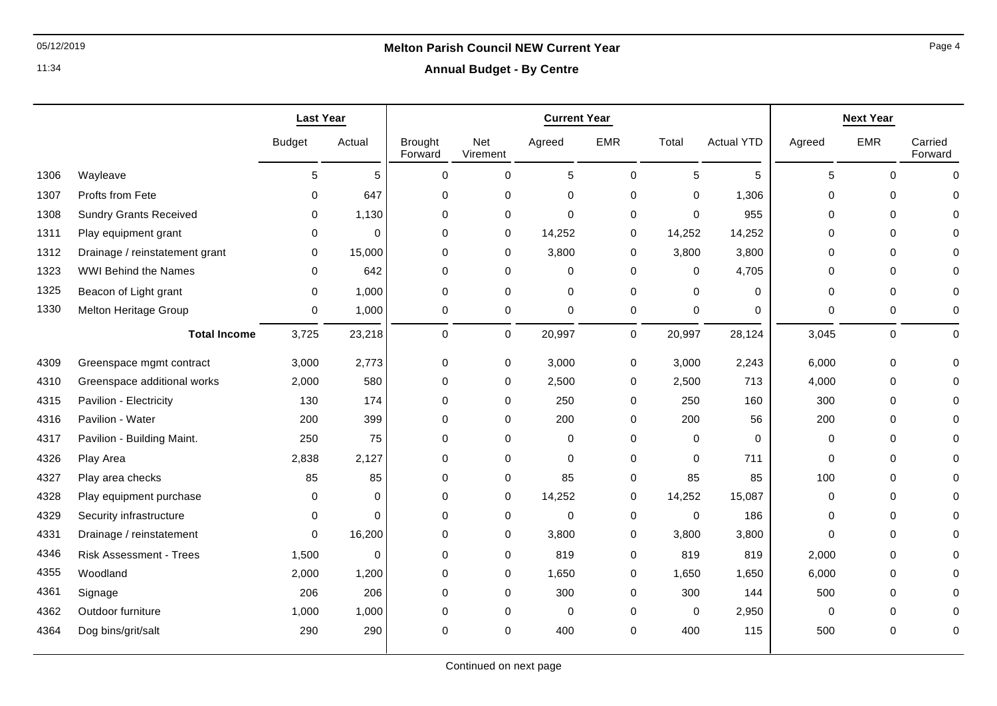11:34

### **Annual Budget - By Centre**

|      |                                | <b>Last Year</b> |          | <b>Current Year</b>       |                     |             | <b>Next Year</b> |             |                   |             |             |                    |
|------|--------------------------------|------------------|----------|---------------------------|---------------------|-------------|------------------|-------------|-------------------|-------------|-------------|--------------------|
|      |                                | <b>Budget</b>    | Actual   | <b>Brought</b><br>Forward | Net<br>Virement     | Agreed      | <b>EMR</b>       | Total       | <b>Actual YTD</b> | Agreed      | <b>EMR</b>  | Carried<br>Forward |
| 1306 | Wayleave                       | 5                | 5        | $\mathbf 0$               | $\mathsf{O}\xspace$ | $\sqrt{5}$  | $\mathbf 0$      | 5           | 5                 | 5           | $\Omega$    | $\mathbf 0$        |
| 1307 | Profts from Fete               | 0                | 647      | $\mathbf 0$               | $\mathbf 0$         | 0           | 0                | $\mathbf 0$ | 1,306             | 0           | $\mathbf 0$ | $\Omega$           |
| 1308 | <b>Sundry Grants Received</b>  | 0                | 1,130    | 0                         | 0                   | $\mathbf 0$ | 0                | $\mathbf 0$ | 955               | 0           | $\mathbf 0$ |                    |
| 1311 | Play equipment grant           | 0                | $\Omega$ | 0                         | 0                   | 14,252      | 0                | 14,252      | 14,252            | $\Omega$    | $\mathbf 0$ |                    |
| 1312 | Drainage / reinstatement grant | 0                | 15,000   | 0                         | 0                   | 3,800       | 0                | 3,800       | 3,800             | $\Omega$    | $\mathbf 0$ | U                  |
| 1323 | <b>WWI Behind the Names</b>    | 0                | 642      | $\mathbf 0$               | $\mathbf 0$         | $\mathbf 0$ | $\mathbf 0$      | 0           | 4,705             | 0           | $\mathbf 0$ | 0                  |
| 1325 | Beacon of Light grant          | $\Omega$         | 1,000    | $\Omega$                  | $\mathbf 0$         | $\mathbf 0$ | 0                | $\Omega$    | $\Omega$          | $\Omega$    | $\Omega$    | $\Omega$           |
| 1330 | Melton Heritage Group          | 0                | 1,000    | 0                         | $\mathbf 0$         | $\mathbf 0$ | 0                | $\mathbf 0$ | 0                 | $\mathbf 0$ | 0           | 0                  |
|      | <b>Total Income</b>            | 3,725            | 23,218   | 0                         | $\mathsf{O}$        | 20,997      | $\mathbf 0$      | 20,997      | 28,124            | 3,045       | $\mathbf 0$ | $\mathbf 0$        |
| 4309 | Greenspace mgmt contract       | 3,000            | 2,773    | 0                         | 0                   | 3,000       | 0                | 3,000       | 2,243             | 6,000       | $\mathbf 0$ | $\Omega$           |
| 4310 | Greenspace additional works    | 2,000            | 580      | $\boldsymbol{0}$          | $\pmb{0}$           | 2,500       | 0                | 2,500       | 713               | 4,000       | $\mathbf 0$ | O                  |
| 4315 | Pavilion - Electricity         | 130              | 174      | 0                         | 0                   | 250         | 0                | 250         | 160               | 300         | 0           | U                  |
| 4316 | Pavilion - Water               | 200              | 399      | $\mathbf 0$               | 0                   | 200         | 0                | 200         | 56                | 200         | 0           |                    |
| 4317 | Pavilion - Building Maint.     | 250              | 75       | 0                         | $\mathbf 0$         | $\mathbf 0$ | $\mathbf 0$      | 0           | $\Omega$          | $\Omega$    | $\mathbf 0$ |                    |
| 4326 | Play Area                      | 2,838            | 2,127    | $\mathbf 0$               | $\mathbf 0$         | $\mathbf 0$ | 0                | $\mathbf 0$ | 711               | $\mathbf 0$ | 0           | O                  |
| 4327 | Play area checks               | 85               | 85       | $\mathbf 0$               | $\mathbf 0$         | 85          | 0                | 85          | 85                | 100         | 0           |                    |
| 4328 | Play equipment purchase        | 0                | $\Omega$ | $\mathbf 0$               | $\mathbf 0$         | 14,252      | 0                | 14,252      | 15,087            | $\Omega$    | $\mathbf 0$ |                    |
| 4329 | Security infrastructure        | 0                | $\Omega$ | $\Omega$                  | 0                   | $\mathbf 0$ | 0                | 0           | 186               | $\Omega$    | $\mathbf 0$ | O                  |
| 4331 | Drainage / reinstatement       | $\Omega$         | 16,200   | $\mathbf 0$               | $\mathbf 0$         | 3,800       | 0                | 3,800       | 3,800             | $\Omega$    | 0           |                    |
| 4346 | <b>Risk Assessment - Trees</b> | 1,500            | $\Omega$ | $\mathbf 0$               | $\mathbf 0$         | 819         | 0                | 819         | 819               | 2,000       | $\mathbf 0$ |                    |
| 4355 | Woodland                       | 2,000            | 1,200    | $\Omega$                  | $\mathbf 0$         | 1,650       | 0                | 1,650       | 1,650             | 6,000       | $\mathbf 0$ | O                  |
| 4361 | Signage                        | 206              | 206      | $\mathbf 0$               | $\mathbf 0$         | 300         | 0                | 300         | 144               | 500         | $\mathbf 0$ |                    |
| 4362 | Outdoor furniture              | 1,000            | 1,000    | $\Omega$                  | $\mathbf 0$         | 0           | 0                | $\Omega$    | 2,950             | $\Omega$    | $\Omega$    | O                  |
| 4364 | Dog bins/grit/salt             | 290              | 290      | 0                         | 0                   | 400         | 0                | 400         | 115               | 500         | 0           | 0                  |